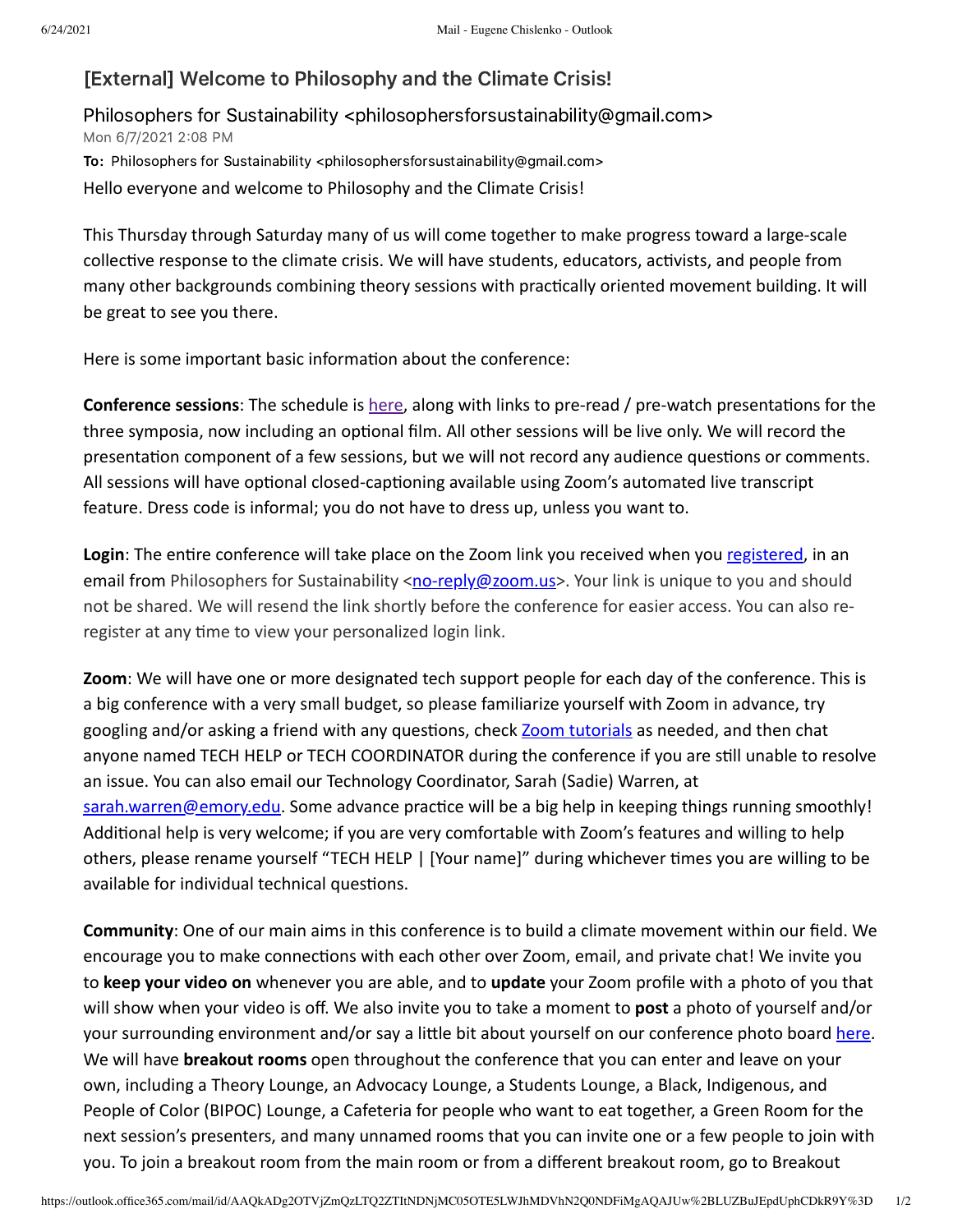## [External] Welcome to Philosophy and the Climate Crisis!

Philosophers for Sustainability <philosophersforsustainability@gmail.com> Mon 6/7/2021 2:08 PM To: Philosophers for Sustainability <philosophersforsustainability@gmail.com> Hello everyone and welcome to Philosophy and the Climate Crisis!

This Thursday through Saturday many of us will come together to make progress toward a large-scale collective response to the climate crisis. We will have students, educators, activists, and people from many other backgrounds combining theory sessions with practically oriented movement building. It will be great to see you there.

Here is some important basic information about the conference:

**Conference sessions**: The schedule is [here](https://nam10.safelinks.protection.outlook.com/?url=http%3A%2F%2Fwww.philosophersforsustainability.com%2Fconference2021%2F&data=04%7C01%7Cchislenko%40temple.edu%7Cea18e74250284f896cf908d929df2e87%7C716e81efb52244738e3110bd02ccf6e5%7C0%7C0%7C637586861261206945%7CUnknown%7CTWFpbGZsb3d8eyJWIjoiMC4wLjAwMDAiLCJQIjoiV2luMzIiLCJBTiI6Ik1haWwiLCJXVCI6Mn0%3D%7C3000&sdata=7iEBPGGKacmcvRDiyIvbjBBDUUTPRmoVc11KaQPFyeg%3D&reserved=0), along with links to pre-read / pre-watch presentations for the three symposia, now including an optional film. All other sessions will be live only. We will record the presentation component of a few sessions, but we will not record any audience questions or comments. All sessions will have optional closed-captioning available using Zoom's automated live transcript feature. Dress code is informal; you do not have to dress up, unless you want to.

Login: The entire conference will take place on the Zoom link you received when you [registered,](https://nam10.safelinks.protection.outlook.com/?url=https%3A%2F%2Ftemple.zoom.us%2Fmeeting%2Fregister%2FtJMucuuvrj0uE9133kQj8A1C3OH6YxQEONtr&data=04%7C01%7Cchislenko%40temple.edu%7Cea18e74250284f896cf908d929df2e87%7C716e81efb52244738e3110bd02ccf6e5%7C0%7C0%7C637586861261216939%7CUnknown%7CTWFpbGZsb3d8eyJWIjoiMC4wLjAwMDAiLCJQIjoiV2luMzIiLCJBTiI6Ik1haWwiLCJXVCI6Mn0%3D%7C3000&sdata=f1NsF7AQAP%2FsIMQFg4dDls0WSralmrjCletSHnDxPmU%3D&reserved=0) in an email from Philosophers for Sustainability <[no-reply@zoom.us>](mailto:no-reply@zoom.us). Your link is unique to you and should not be shared. We will resend the link shortly before the conference for easier access. You can also reregister at any time to view your personalized login link.

**Zoom**: We will have one or more designated tech support people for each day of the conference. This is a big conference with a very small budget, so please familiarize yourself with Zoom in advance, try googling and/or asking a friend with any questions, check [Zoom tutorials](https://nam10.safelinks.protection.outlook.com/?url=https%3A%2F%2Fsupport.zoom.us%2Fhc%2Fen-us%2Farticles%2F206618765-Zoom-video-tutorials&data=04%7C01%7Cchislenko%40temple.edu%7Cea18e74250284f896cf908d929df2e87%7C716e81efb52244738e3110bd02ccf6e5%7C0%7C0%7C637586861261216939%7CUnknown%7CTWFpbGZsb3d8eyJWIjoiMC4wLjAwMDAiLCJQIjoiV2luMzIiLCJBTiI6Ik1haWwiLCJXVCI6Mn0%3D%7C3000&sdata=WUYmrRtOhxu5VI%2Bow1MYJPbxqED2ms8cHsokkBixGiM%3D&reserved=0) as needed, and then chat anyone named TECH HELP or TECH COORDINATOR during the conference if you are still unable to resolve an issue. You can also email our Technology Coordinator, Sarah (Sadie) Warren, at [sarah.warren@emory.edu](mailto:sarah.warren@emory.edu). Some advance practice will be a big help in keeping things running smoothly! Additional help is very welcome; if you are very comfortable with Zoom's features and willing to help others, please rename yourself "TECH HELP | [Your name]" during whichever times you are willing to be available for individual technical questions.

**Community**: One of our main aims in this conference is to build a climate movement within our field. We encourage you to make connections with each other over Zoom, email, and private chat! We invite you to **keep your video on** whenever you are able, and to **update** your Zoom profile with a photo of you that will show when your video is off. We also invite you to take a moment to **post** a photo of yourself and/or your surrounding environment and/or say a little bit about yourself on our conference photo board [here](https://nam10.safelinks.protection.outlook.com/?url=https%3A%2F%2Fpadlet.com%2Fchislenko%2Ftyhs90rstrkmx5eg&data=04%7C01%7Cchislenko%40temple.edu%7Cea18e74250284f896cf908d929df2e87%7C716e81efb52244738e3110bd02ccf6e5%7C0%7C0%7C637586861261226933%7CUnknown%7CTWFpbGZsb3d8eyJWIjoiMC4wLjAwMDAiLCJQIjoiV2luMzIiLCJBTiI6Ik1haWwiLCJXVCI6Mn0%3D%7C3000&sdata=NINBUqgKkHq%2BqXlBq7GqSv42mZgSJ7IhJKDu%2F26i1%2B0%3D&reserved=0). We will have **breakout rooms** open throughout the conference that you can enter and leave on your own, including a Theory Lounge, an Advocacy Lounge, a Students Lounge, a Black, Indigenous, and People of Color (BIPOC) Lounge, a Cafeteria for people who want to eat together, a Green Room for the next session's presenters, and many unnamed rooms that you can invite one or a few people to join with you. To join a breakout room from the main room or from a different breakout room, go to Breakout